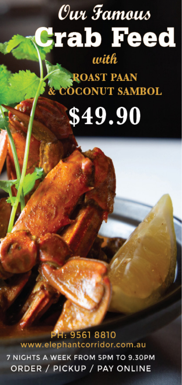## 7 NIGHTS A WEEK FROM 5PM TO 9.30PM ORDER / PICKUP / PAY ONLINE

www.elephantcorridor.com.au

PH: 9561 8810

## **ROAST PAAN E COCONUT SAMBOL** \$49.90

with

Our Famous

**rab Feed**